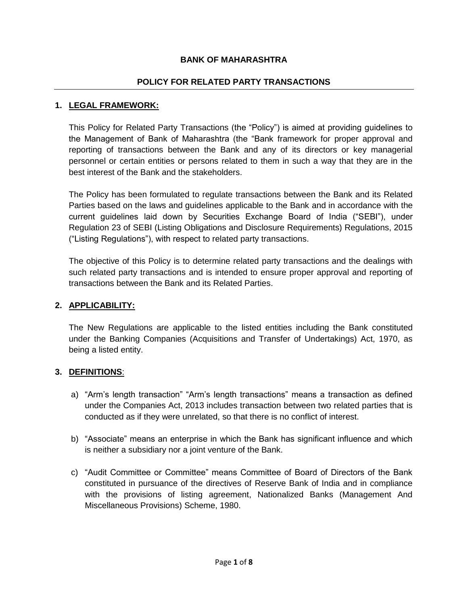### **BANK OF MAHARASHTRA**

### **POLICY FOR RELATED PARTY TRANSACTIONS**

#### **1. LEGAL FRAMEWORK:**

This Policy for Related Party Transactions (the "Policy") is aimed at providing guidelines to the Management of Bank of Maharashtra (the "Bank framework for proper approval and reporting of transactions between the Bank and any of its directors or key managerial personnel or certain entities or persons related to them in such a way that they are in the best interest of the Bank and the stakeholders.

The Policy has been formulated to regulate transactions between the Bank and its Related Parties based on the laws and guidelines applicable to the Bank and in accordance with the current guidelines laid down by Securities Exchange Board of India ("SEBI"), under Regulation 23 of SEBI (Listing Obligations and Disclosure Requirements) Regulations, 2015 ("Listing Regulations"), with respect to related party transactions.

The objective of this Policy is to determine related party transactions and the dealings with such related party transactions and is intended to ensure proper approval and reporting of transactions between the Bank and its Related Parties.

### **2. APPLICABILITY:**

The New Regulations are applicable to the listed entities including the Bank constituted under the Banking Companies (Acquisitions and Transfer of Undertakings) Act, 1970, as being a listed entity.

#### **3. DEFINITIONS**:

- a) "Arm's length transaction" "Arm's length transactions" means a transaction as defined under the Companies Act, 2013 includes transaction between two related parties that is conducted as if they were unrelated, so that there is no conflict of interest.
- b) "Associate" means an enterprise in which the Bank has significant influence and which is neither a subsidiary nor a joint venture of the Bank.
- c) "Audit Committee or Committee" means Committee of Board of Directors of the Bank constituted in pursuance of the directives of Reserve Bank of India and in compliance with the provisions of listing agreement, Nationalized Banks (Management And Miscellaneous Provisions) Scheme, 1980.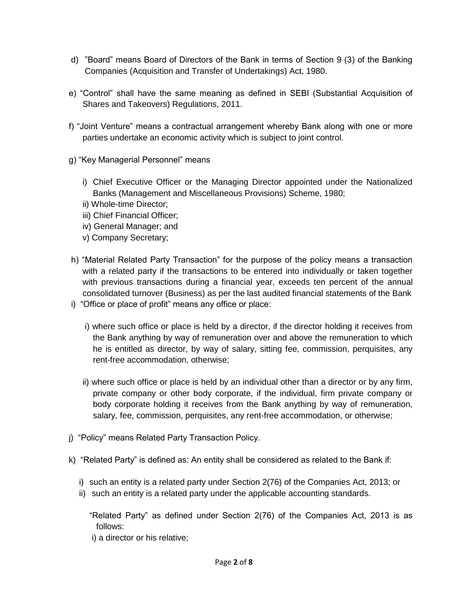- d) "Board" means Board of Directors of the Bank in terms of Section 9 (3) of the Banking Companies (Acquisition and Transfer of Undertakings) Act, 1980.
- e) "Control" shall have the same meaning as defined in SEBI (Substantial Acquisition of Shares and Takeovers) Regulations, 2011.
- f) "Joint Venture" means a contractual arrangement whereby Bank along with one or more parties undertake an economic activity which is subject to joint control.
- g) "Key Managerial Personnel" means
	- i) Chief Executive Officer or the Managing Director appointed under the Nationalized Banks (Management and Miscellaneous Provisions) Scheme, 1980;
	- ii) Whole-time Director;
	- iii) Chief Financial Officer;
	- iv) General Manager; and
	- v) Company Secretary;
- h) "Material Related Party Transaction" for the purpose of the policy means a transaction with a related party if the transactions to be entered into individually or taken together with previous transactions during a financial year, exceeds ten percent of the annual consolidated turnover (Business) as per the last audited financial statements of the Bank
- i) "Office or place of profit" means any office or place:
	- i) where such office or place is held by a director, if the director holding it receives from the Bank anything by way of remuneration over and above the remuneration to which he is entitled as director, by way of salary, sitting fee, commission, perquisites, any rent-free accommodation, otherwise;
	- ii) where such office or place is held by an individual other than a director or by any firm, private company or other body corporate, if the individual, firm private company or body corporate holding it receives from the Bank anything by way of remuneration, salary, fee, commission, perquisites, any rent-free accommodation, or otherwise;
- j) "Policy" means Related Party Transaction Policy.
- k) "Related Party" is defined as: An entity shall be considered as related to the Bank if:
	- i) such an entity is a related party under Section 2(76) of the Companies Act, 2013; or
	- ii) such an entity is a related party under the applicable accounting standards.
		- "Related Party" as defined under Section 2(76) of the Companies Act, 2013 is as follows:
		- i) a director or his relative;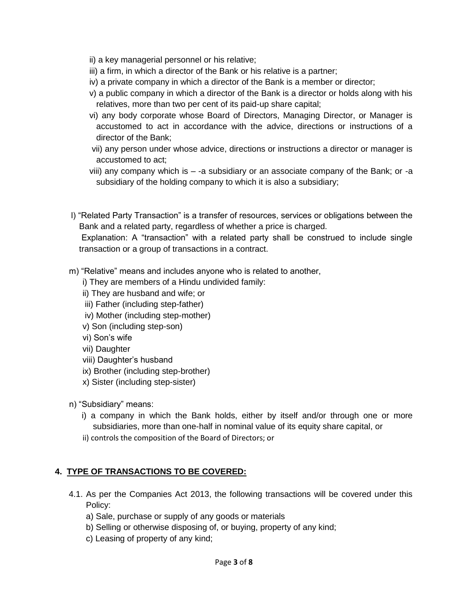- ii) a key managerial personnel or his relative;
- iii) a firm, in which a director of the Bank or his relative is a partner;
- iv) a private company in which a director of the Bank is a member or director;
- v) a public company in which a director of the Bank is a director or holds along with his relatives, more than two per cent of its paid-up share capital;
- vi) any body corporate whose Board of Directors, Managing Director, or Manager is accustomed to act in accordance with the advice, directions or instructions of a director of the Bank;
- vii) any person under whose advice, directions or instructions a director or manager is accustomed to act;
- viii) any company which is -a subsidiary or an associate company of the Bank; or -a subsidiary of the holding company to which it is also a subsidiary;
- l) "Related Party Transaction" is a transfer of resources, services or obligations between the Bank and a related party, regardless of whether a price is charged.

Explanation: A "transaction" with a related party shall be construed to include single transaction or a group of transactions in a contract.

- m) "Relative" means and includes anyone who is related to another,
	- i) They are members of a Hindu undivided family:
	- ii) They are husband and wife; or
	- iii) Father (including step-father)
	- iv) Mother (including step-mother)
	- v) Son (including step-son)
	- vi) Son's wife
	- vii) Daughter
	- viii) Daughter's husband
	- ix) Brother (including step-brother)
	- x) Sister (including step-sister)
- n) "Subsidiary" means:
	- i) a company in which the Bank holds, either by itself and/or through one or more subsidiaries, more than one-half in nominal value of its equity share capital, or
	- ii) controls the composition of the Board of Directors; or

### **4. TYPE OF TRANSACTIONS TO BE COVERED:**

- 4.1. As per the Companies Act 2013, the following transactions will be covered under this Policy:
	- a) Sale, purchase or supply of any goods or materials
	- b) Selling or otherwise disposing of, or buying, property of any kind;
	- c) Leasing of property of any kind;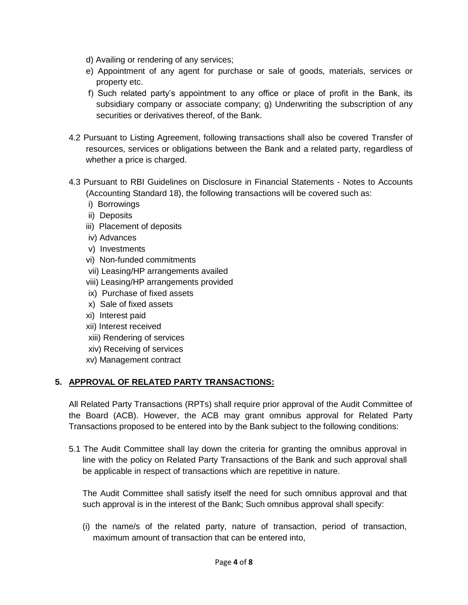- d) Availing or rendering of any services;
- e) Appointment of any agent for purchase or sale of goods, materials, services or property etc.
- f) Such related party's appointment to any office or place of profit in the Bank, its subsidiary company or associate company; g) Underwriting the subscription of any securities or derivatives thereof, of the Bank.
- 4.2 Pursuant to Listing Agreement, following transactions shall also be covered Transfer of resources, services or obligations between the Bank and a related party, regardless of whether a price is charged.
- 4.3 Pursuant to RBI Guidelines on Disclosure in Financial Statements Notes to Accounts (Accounting Standard 18), the following transactions will be covered such as:
	- i) Borrowings
	- ii) Deposits
	- iii) Placement of deposits
	- iv) Advances
	- v) Investments
	- vi) Non-funded commitments
	- vii) Leasing/HP arrangements availed
	- viii) Leasing/HP arrangements provided
	- ix) Purchase of fixed assets
	- x) Sale of fixed assets
	- xi) Interest paid
	- xii) Interest received
	- xiii) Rendering of services
	- xiv) Receiving of services
	- xv) Management contract

# **5. APPROVAL OF RELATED PARTY TRANSACTIONS:**

All Related Party Transactions (RPTs) shall require prior approval of the Audit Committee of the Board (ACB). However, the ACB may grant omnibus approval for Related Party Transactions proposed to be entered into by the Bank subject to the following conditions:

5.1 The Audit Committee shall lay down the criteria for granting the omnibus approval in line with the policy on Related Party Transactions of the Bank and such approval shall be applicable in respect of transactions which are repetitive in nature.

The Audit Committee shall satisfy itself the need for such omnibus approval and that such approval is in the interest of the Bank; Such omnibus approval shall specify:

(i) the name/s of the related party, nature of transaction, period of transaction, maximum amount of transaction that can be entered into,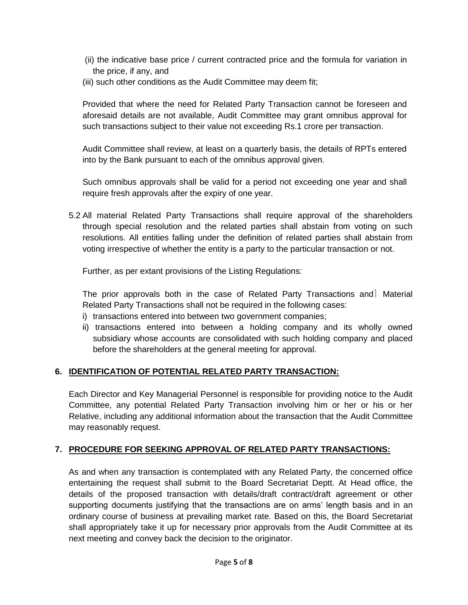- (ii) the indicative base price / current contracted price and the formula for variation in the price, if any, and
- (iii) such other conditions as the Audit Committee may deem fit;

Provided that where the need for Related Party Transaction cannot be foreseen and aforesaid details are not available, Audit Committee may grant omnibus approval for such transactions subject to their value not exceeding Rs.1 crore per transaction.

Audit Committee shall review, at least on a quarterly basis, the details of RPTs entered into by the Bank pursuant to each of the omnibus approval given.

Such omnibus approvals shall be valid for a period not exceeding one year and shall require fresh approvals after the expiry of one year.

5.2 All material Related Party Transactions shall require approval of the shareholders through special resolution and the related parties shall abstain from voting on such resolutions. All entities falling under the definition of related parties shall abstain from voting irrespective of whether the entity is a party to the particular transaction or not.

Further, as per extant provisions of the Listing Regulations:

The prior approvals both in the case of Related Party Transactions and Material Related Party Transactions shall not be required in the following cases:

- i) transactions entered into between two government companies;
- ii) transactions entered into between a holding company and its wholly owned subsidiary whose accounts are consolidated with such holding company and placed before the shareholders at the general meeting for approval.

# **6. IDENTIFICATION OF POTENTIAL RELATED PARTY TRANSACTION:**

Each Director and Key Managerial Personnel is responsible for providing notice to the Audit Committee, any potential Related Party Transaction involving him or her or his or her Relative, including any additional information about the transaction that the Audit Committee may reasonably request.

# **7. PROCEDURE FOR SEEKING APPROVAL OF RELATED PARTY TRANSACTIONS:**

As and when any transaction is contemplated with any Related Party, the concerned office entertaining the request shall submit to the Board Secretariat Deptt. At Head office, the details of the proposed transaction with details/draft contract/draft agreement or other supporting documents justifying that the transactions are on arms' length basis and in an ordinary course of business at prevailing market rate. Based on this, the Board Secretariat shall appropriately take it up for necessary prior approvals from the Audit Committee at its next meeting and convey back the decision to the originator.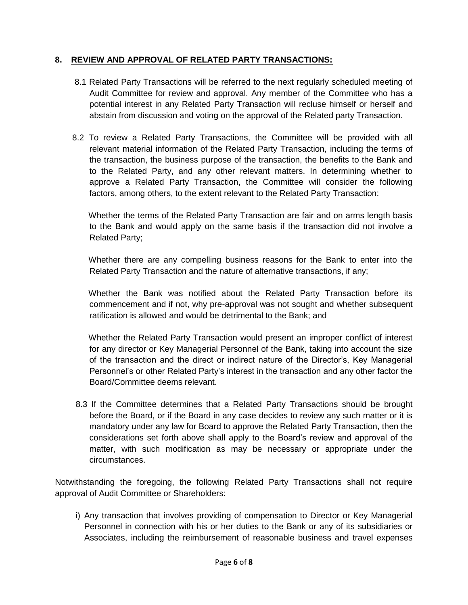## **8. REVIEW AND APPROVAL OF RELATED PARTY TRANSACTIONS:**

- 8.1 Related Party Transactions will be referred to the next regularly scheduled meeting of Audit Committee for review and approval. Any member of the Committee who has a potential interest in any Related Party Transaction will recluse himself or herself and abstain from discussion and voting on the approval of the Related party Transaction.
- 8.2 To review a Related Party Transactions, the Committee will be provided with all relevant material information of the Related Party Transaction, including the terms of the transaction, the business purpose of the transaction, the benefits to the Bank and to the Related Party, and any other relevant matters. In determining whether to approve a Related Party Transaction, the Committee will consider the following factors, among others, to the extent relevant to the Related Party Transaction:

 Whether the terms of the Related Party Transaction are fair and on arms length basis to the Bank and would apply on the same basis if the transaction did not involve a Related Party;

 Whether there are any compelling business reasons for the Bank to enter into the Related Party Transaction and the nature of alternative transactions, if any;

 Whether the Bank was notified about the Related Party Transaction before its commencement and if not, why pre-approval was not sought and whether subsequent ratification is allowed and would be detrimental to the Bank; and

 Whether the Related Party Transaction would present an improper conflict of interest for any director or Key Managerial Personnel of the Bank, taking into account the size of the transaction and the direct or indirect nature of the Director's, Key Managerial Personnel's or other Related Party's interest in the transaction and any other factor the Board/Committee deems relevant.

8.3 If the Committee determines that a Related Party Transactions should be brought before the Board, or if the Board in any case decides to review any such matter or it is mandatory under any law for Board to approve the Related Party Transaction, then the considerations set forth above shall apply to the Board's review and approval of the matter, with such modification as may be necessary or appropriate under the circumstances.

Notwithstanding the foregoing, the following Related Party Transactions shall not require approval of Audit Committee or Shareholders:

i) Any transaction that involves providing of compensation to Director or Key Managerial Personnel in connection with his or her duties to the Bank or any of its subsidiaries or Associates, including the reimbursement of reasonable business and travel expenses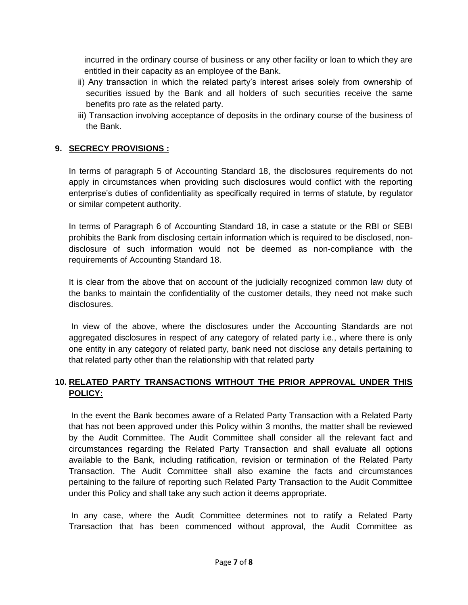incurred in the ordinary course of business or any other facility or loan to which they are entitled in their capacity as an employee of the Bank.

- ii) Any transaction in which the related party's interest arises solely from ownership of securities issued by the Bank and all holders of such securities receive the same benefits pro rate as the related party.
- iii) Transaction involving acceptance of deposits in the ordinary course of the business of the Bank.

### **9. SECRECY PROVISIONS :**

In terms of paragraph 5 of Accounting Standard 18, the disclosures requirements do not apply in circumstances when providing such disclosures would conflict with the reporting enterprise's duties of confidentiality as specifically required in terms of statute, by regulator or similar competent authority.

In terms of Paragraph 6 of Accounting Standard 18, in case a statute or the RBI or SEBI prohibits the Bank from disclosing certain information which is required to be disclosed, nondisclosure of such information would not be deemed as non-compliance with the requirements of Accounting Standard 18.

It is clear from the above that on account of the judicially recognized common law duty of the banks to maintain the confidentiality of the customer details, they need not make such disclosures.

In view of the above, where the disclosures under the Accounting Standards are not aggregated disclosures in respect of any category of related party i.e., where there is only one entity in any category of related party, bank need not disclose any details pertaining to that related party other than the relationship with that related party

## **10. RELATED PARTY TRANSACTIONS WITHOUT THE PRIOR APPROVAL UNDER THIS POLICY:**

In the event the Bank becomes aware of a Related Party Transaction with a Related Party that has not been approved under this Policy within 3 months, the matter shall be reviewed by the Audit Committee. The Audit Committee shall consider all the relevant fact and circumstances regarding the Related Party Transaction and shall evaluate all options available to the Bank, including ratification, revision or termination of the Related Party Transaction. The Audit Committee shall also examine the facts and circumstances pertaining to the failure of reporting such Related Party Transaction to the Audit Committee under this Policy and shall take any such action it deems appropriate.

In any case, where the Audit Committee determines not to ratify a Related Party Transaction that has been commenced without approval, the Audit Committee as